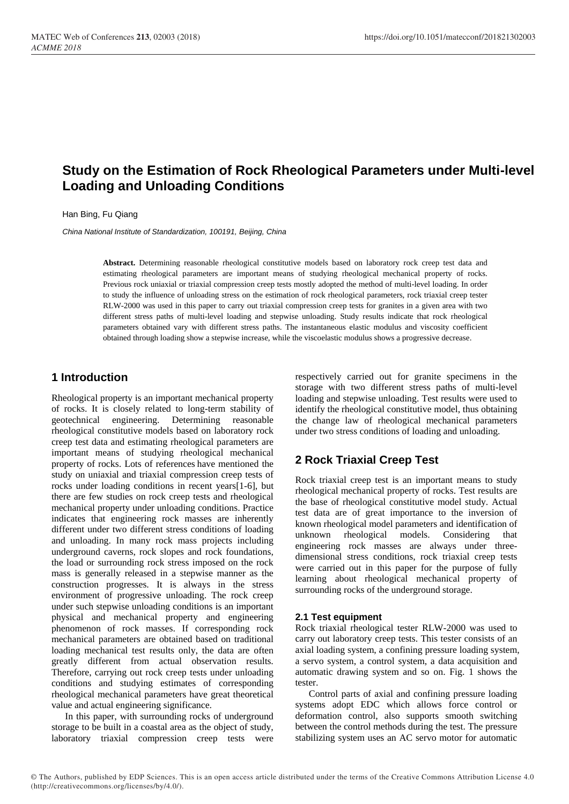# **Study on the Estimation of Rock Rheological Parameters under Multi-level Loading and Unloading Conditions**

Han Bing, Fu Qiang

*China National Institute of Standardization, 100191, Beijing, China*

**Abstract.** Determining reasonable rheological constitutive models based on laboratory rock creep test data and estimating rheological parameters are important means of studying rheological mechanical property of rocks. Previous rock uniaxial or triaxial compression creep tests mostly adopted the method of multi-level loading. In order to study the influence of unloading stress on the estimation of rock rheological parameters, rock triaxial creep tester RLW-2000 was used in this paper to carry out triaxial compression creep tests for granites in a given area with two different stress paths of multi-level loading and stepwise unloading. Study results indicate that rock rheological parameters obtained vary with different stress paths. The instantaneous elastic modulus and viscosity coefficient obtained through loading show a stepwise increase, while the viscoelastic modulus shows a progressive decrease.

## **1 Introduction**

Rheological property is an important mechanical property of rocks. It is closely related to long-term stability of geotechnical engineering. Determining reasonable rheological constitutive models based on laboratory rock creep test data and estimating rheological parameters are important means of studying rheological mechanical property of rocks. Lots of references have mentioned the study on uniaxial and triaxial compression creep tests of rocks under loading conditions in recent years[1-6], but there are few studies on rock creep tests and rheological mechanical property under unloading conditions. Practice indicates that engineering rock masses are inherently different under two different stress conditions of loading and unloading. In many rock mass projects including underground caverns, rock slopes and rock foundations, the load or surrounding rock stress imposed on the rock mass is generally released in a stepwise manner as the construction progresses. It is always in the stress environment of progressive unloading. The rock creep under such stepwise unloading conditions is an important physical and mechanical property and engineering phenomenon of rock masses. If corresponding rock mechanical parameters are obtained based on traditional loading mechanical test results only, the data are often greatly different from actual observation results. Therefore, carrying out rock creep tests under unloading conditions and studying estimates of corresponding rheological mechanical parameters have great theoretical value and actual engineering significance.

In this paper, with surrounding rocks of underground storage to be built in a coastal area as the object of study, laboratory triaxial compression creep tests were respectively carried out for granite specimens in the storage with two different stress paths of multi-level loading and stepwise unloading. Test results were used to identify the rheological constitutive model, thus obtaining the change law of rheological mechanical parameters under two stress conditions of loading and unloading.

# **2 Rock Triaxial Creep Test**

Rock triaxial creep test is an important means to study rheological mechanical property of rocks. Test results are the base of rheological constitutive model study. Actual test data are of great importance to the inversion of known rheological model parameters and identification of unknown rheological models. Considering that engineering rock masses are always under threedimensional stress conditions, rock triaxial creep tests were carried out in this paper for the purpose of fully learning about rheological mechanical property of surrounding rocks of the underground storage.

### **2.1 Test equipment**

Rock triaxial rheological tester RLW-2000 was used to carry out laboratory creep tests. This tester consists of an axial loading system, a confining pressure loading system, a servo system, a control system, a data acquisition and automatic drawing system and so on. Fig. 1 shows the tester.

Control parts of axial and confining pressure loading systems adopt EDC which allows force control or deformation control, also supports smooth switching between the control methods during the test. The pressure stabilizing system uses an AC servo motor for automatic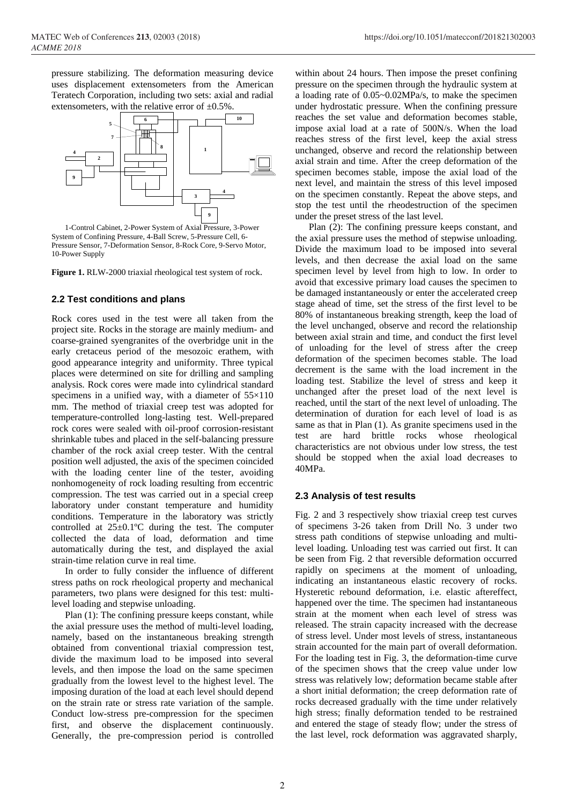pressure stabilizing. The deformation measuring device uses displacement extensometers from the American Teratech Corporation, including two sets: axial and radial extensometers, with the relative error of  $\pm 0.5\%$ .



1-Control Cabinet, 2-Power System of Axial Pressure, 3-Power System of Confining Pressure, 4-Ball Screw, 5-Pressure Cell, 6- Pressure Sensor, 7-Deformation Sensor, 8-Rock Core, 9-Servo Motor, 10-Power Supply

**Figure 1.** RLW-2000 triaxial rheological test system of rock.

### **2.2 Test conditions and plans**

Rock cores used in the test were all taken from the project site. Rocks in the storage are mainly medium- and coarse-grained syengranites of the overbridge unit in the early cretaceus period of the mesozoic erathem, with good appearance integrity and uniformity. Three typical places were determined on site for drilling and sampling analysis. Rock cores were made into cylindrical standard specimens in a unified way, with a diameter of  $55 \times 110$ mm. The method of triaxial creep test was adopted for temperature-controlled long-lasting test. Well-prepared rock cores were sealed with oil-proof corrosion-resistant shrinkable tubes and placed in the self-balancing pressure chamber of the rock axial creep tester. With the central position well adjusted, the axis of the specimen coincided with the loading center line of the tester, avoiding nonhomogeneity of rock loading resulting from eccentric compression. The test was carried out in a special creep laboratory under constant temperature and humidity conditions. Temperature in the laboratory was strictly controlled at  $25\pm0.1$  °C during the test. The computer collected the data of load, deformation and time automatically during the test, and displayed the axial strain-time relation curve in real time.

In order to fully consider the influence of different stress paths on rock rheological property and mechanical parameters, two plans were designed for this test: multilevel loading and stepwise unloading.

Plan (1): The confining pressure keeps constant, while the axial pressure uses the method of multi-level loading, namely, based on the instantaneous breaking strength obtained from conventional triaxial compression test, divide the maximum load to be imposed into several levels, and then impose the load on the same specimen gradually from the lowest level to the highest level. The imposing duration of the load at each level should depend on the strain rate or stress rate variation of the sample. Conduct low-stress pre-compression for the specimen first, and observe the displacement continuously. Generally, the pre-compression period is controlled

within about 24 hours. Then impose the preset confining pressure on the specimen through the hydraulic system at a loading rate of 0.05~0.02MPa/s, to make the specimen under hydrostatic pressure. When the confining pressure reaches the set value and deformation becomes stable, impose axial load at a rate of 500N/s. When the load reaches stress of the first level, keep the axial stress unchanged, observe and record the relationship between axial strain and time. After the creep deformation of the specimen becomes stable, impose the axial load of the next level, and maintain the stress of this level imposed on the specimen constantly. Repeat the above steps, and stop the test until the rheodestruction of the specimen under the preset stress of the last level.

Plan (2): The confining pressure keeps constant, and the axial pressure uses the method of stepwise unloading. Divide the maximum load to be imposed into several levels, and then decrease the axial load on the same specimen level by level from high to low. In order to avoid that excessive primary load causes the specimen to be damaged instantaneously or enter the accelerated creep stage ahead of time, set the stress of the first level to be 80% of instantaneous breaking strength, keep the load of the level unchanged, observe and record the relationship between axial strain and time, and conduct the first level of unloading for the level of stress after the creep deformation of the specimen becomes stable. The load decrement is the same with the load increment in the loading test. Stabilize the level of stress and keep it unchanged after the preset load of the next level is reached, until the start of the next level of unloading. The determination of duration for each level of load is as same as that in Plan (1). As granite specimens used in the test are hard brittle rocks whose rheological characteristics are not obvious under low stress, the test should be stopped when the axial load decreases to 40MPa.

### **2.3 Analysis of test results**

Fig. 2 and 3 respectively show triaxial creep test curves of specimens 3-26 taken from Drill No. 3 under two stress path conditions of stepwise unloading and multilevel loading. Unloading test was carried out first. It can be seen from Fig. 2 that reversible deformation occurred rapidly on specimens at the moment of unloading, indicating an instantaneous elastic recovery of rocks. Hysteretic rebound deformation, i.e. elastic aftereffect, happened over the time. The specimen had instantaneous strain at the moment when each level of stress was released. The strain capacity increased with the decrease of stress level. Under most levels of stress, instantaneous strain accounted for the main part of overall deformation. For the loading test in Fig. 3, the deformation-time curve of the specimen shows that the creep value under low stress was relatively low; deformation became stable after a short initial deformation; the creep deformation rate of rocks decreased gradually with the time under relatively high stress; finally deformation tended to be restrained and entered the stage of steady flow; under the stress of the last level, rock deformation was aggravated sharply,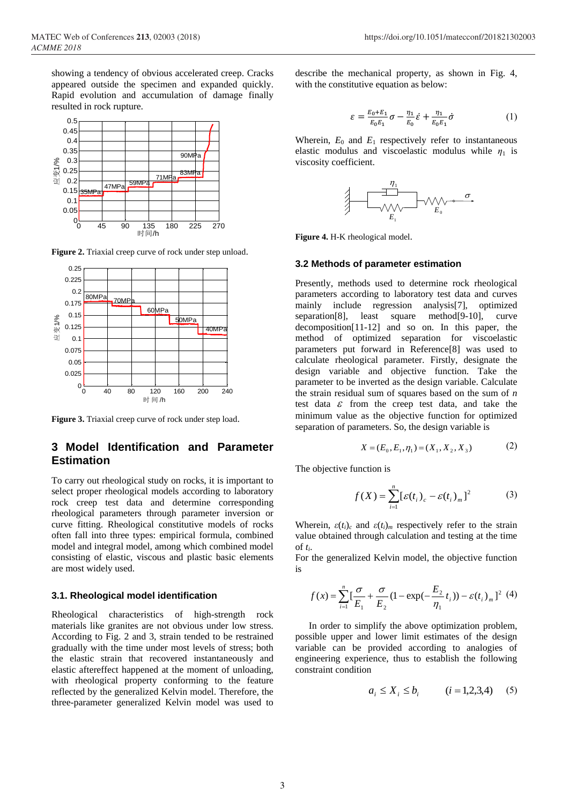showing a tendency of obvious accelerated creep. Cracks appeared outside the specimen and expanded quickly. Rapid evolution and accumulation of damage finally resulted in rock rupture.



**Figure 2.** Triaxial creep curve of rock under step unload.



**Figure 3.** Triaxial creep curve of rock under step load.

### **3 Model Identification and Parameter Estimation**

To carry out rheological study on rocks, it is important to select proper rheological models according to laboratory rock creep test data and determine corresponding rheological parameters through parameter inversion or curve fitting. Rheological constitutive models of rocks often fall into three types: empirical formula, combined model and integral model, among which combined model consisting of elastic, viscous and plastic basic elements are most widely used.

#### **3.1. Rheological model identification**

Rheological characteristics of high-strength rock materials like granites are not obvious under low stress. According to Fig. 2 and 3, strain tended to be restrained gradually with the time under most levels of stress; both the elastic strain that recovered instantaneously and elastic aftereffect happened at the moment of unloading, with rheological property conforming to the feature reflected by the generalized Kelvin model. Therefore, the three-parameter generalized Kelvin model was used to

describe the mechanical property, as shown in Fig. 4, with the constitutive equation as below:

$$
\varepsilon = \frac{E_0 + E_1}{E_0 E_1} \sigma - \frac{\eta_1}{E_0} \dot{\varepsilon} + \frac{\eta_1}{E_0 E_1} \dot{\sigma}
$$
 (1)

Wherein,  $E_0$  and  $E_1$  respectively refer to instantaneous elastic modulus and viscoelastic modulus while  $\eta_1$  is viscosity coefficient.

1 *<sup>E</sup>*<sup>1</sup> *<sup>E</sup>*<sup>0</sup>

**Figure 4.** H-K rheological model.

#### **3.2 Methods of parameter estimation**

Presently, methods used to determine rock rheological parameters according to laboratory test data and curves mainly include regression analysis[7], optimized separation[8], least square method[9-10], curve decomposition[11-12] and so on. In this paper, the method of optimized separation for viscoelastic parameters put forward in Reference[8] was used to calculate rheological parameter. Firstly, designate the design variable and objective function. Take the parameter to be inverted as the design variable. Calculate the strain residual sum of squares based on the sum of *n* test data  $\varepsilon$  from the creep test data, and take the minimum value as the objective function for optimized separation of parameters. So, the design variable is

$$
X = (E_0, E_1, \eta_1) = (X_1, X_2, X_3)
$$
 (2)

The objective function is

$$
f(X) = \sum_{i=1}^{n} \left[ \varepsilon(t_i)_c - \varepsilon(t_i)_m \right]^2 \tag{3}
$$

Wherein,  $\varepsilon(t_i)_c$  and  $\varepsilon(t_i)_m$  respectively refer to the strain value obtained through calculation and testing at the time of *t<sup>i</sup>* .

For the generalized Kelvin model, the objective function is

$$
f(x) = \sum_{i=1}^{n} \left[ \frac{\sigma}{E_1} + \frac{\sigma}{E_2} (1 - \exp(-\frac{E_2}{\eta_1} t_i)) - \varepsilon(t_i)_{m} \right]^2 (4)
$$

In order to simplify the above optimization problem, possible upper and lower limit estimates of the design variable can be provided according to analogies of engineering experience, thus to establish the following constraint condition

$$
a_i \le X_i \le b_i \qquad (i = 1, 2, 3, 4) \qquad (5)
$$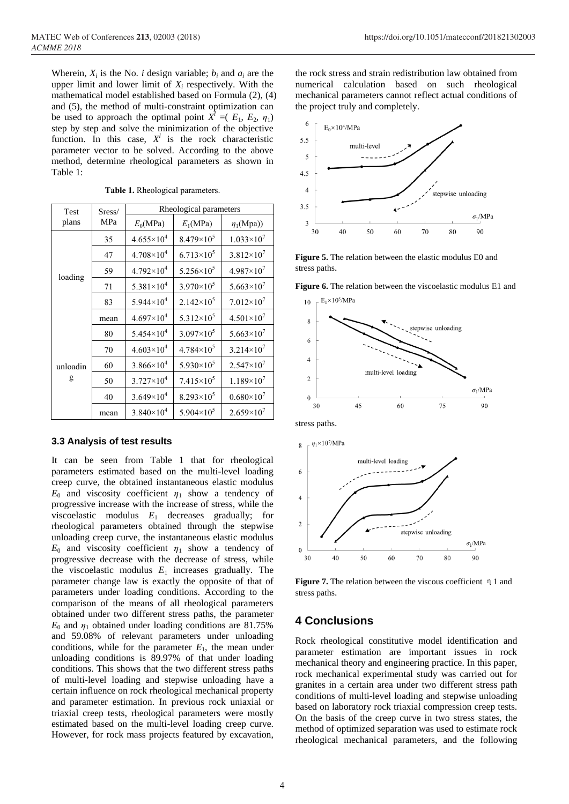Wherein,  $X_i$  is the No. *i* design variable;  $b_i$  and  $a_i$  are the upper limit and lower limit of  $X_i$  respectively. With the mathematical model established based on Formula (2), (4) and (5), the method of multi-constraint optimization can be used to approach the optimal point  $X^{\lambda} = (E_1, E_2, \eta_1)$ step by step and solve the minimization of the objective function. In this case,  $X^l$  is the rock characteristic parameter vector to be solved. According to the above method, determine rheological parameters as shown in Table 1:

| Test<br>plans | Sress/<br>MPa | Rheological parameters |                       |                       |
|---------------|---------------|------------------------|-----------------------|-----------------------|
|               |               | $E_0(MPa)$             | $E_1(MPa)$            | $\eta_1(Mpa)$         |
| loading       | 35            | $4.655\times10^{4}$    | $8.479\times10^{5}$   | $1.033\times10^{7}$   |
|               | 47            | $4.708\times10^{4}$    | $6.713\times10^{5}$   | $3.812\times10^{7}$   |
|               | 59            | $4.792 \times 10^{4}$  | $5.256 \times 10^5$   | $4.987 \times 10^{7}$ |
|               | 71            | $5.381\times10^{4}$    | $3.970\times10^{5}$   | $5.663 \times 10^{7}$ |
|               | 83            | $5.944 \times 10^4$    | $2.142\times10^{5}$   | $7.012\times10^{7}$   |
|               | mean          | $4.697\times10^{4}$    | $5.312\times10^{5}$   | $4.501 \times 10^{7}$ |
| unloadin<br>g | 80            | $5.454\times10^{4}$    | $3.097\times10^{5}$   | $5.663 \times 10^{7}$ |
|               | 70            | $4.603 \times 10^{4}$  | $4.784 \times 10^{5}$ | $3.214 \times 10^{7}$ |
|               | 60            | $3.866 \times 10^{4}$  | $5.930\times10^{5}$   | $2.547\times10^{7}$   |
|               | 50            | $3.727 \times 10^{4}$  | $7.415 \times 10^5$   | $1.189\times10^{7}$   |
|               | 40            | $3.649\times10^{4}$    | $8.293\times10^{5}$   | $0.680\times10^{7}$   |
|               | mean          | $3.840\times10^{4}$    | $5.904 \times 10^{5}$ | $2.659\times10^{7}$   |

**Table 1.** Rheological parameters.

#### **3.3 Analysis of test results**

It can be seen from Table 1 that for rheological parameters estimated based on the multi-level loading creep curve, the obtained instantaneous elastic modulus  $E_0$  and viscosity coefficient  $\eta_1$  show a tendency of progressive increase with the increase of stress, while the viscoelastic modulus *E*<sup>1</sup> decreases gradually; for rheological parameters obtained through the stepwise unloading creep curve, the instantaneous elastic modulus  $E_0$  and viscosity coefficient  $\eta_1$  show a tendency of progressive decrease with the decrease of stress, while the viscoelastic modulus  $E_1$  increases gradually. The parameter change law is exactly the opposite of that of parameters under loading conditions. According to the comparison of the means of all rheological parameters obtained under two different stress paths, the parameter  $E_0$  and  $\eta_1$  obtained under loading conditions are 81.75% and 59.08% of relevant parameters under unloading conditions, while for the parameter  $E_1$ , the mean under unloading conditions is 89.97% of that under loading conditions. This shows that the two different stress paths of multi-level loading and stepwise unloading have a certain influence on rock rheological mechanical property and parameter estimation. In previous rock uniaxial or triaxial creep tests, rheological parameters were mostly estimated based on the multi-level loading creep curve. However, for rock mass projects featured by excavation,

the rock stress and strain redistribution law obtained from numerical calculation based on such rheological mechanical parameters cannot reflect actual conditions of the project truly and completely.



**Figure 5.** The relation between the elastic modulus E0 and stress paths.





stress paths.



**Figure 7.** The relation between the viscous coefficient η1 and stress paths.

### **4 Conclusions**

Rock rheological constitutive model identification and parameter estimation are important issues in rock mechanical theory and engineering practice. In this paper, rock mechanical experimental study was carried out for granites in a certain area under two different stress path conditions of multi-level loading and stepwise unloading based on laboratory rock triaxial compression creep tests. On the basis of the creep curve in two stress states, the method of optimized separation was used to estimate rock rheological mechanical parameters, and the following